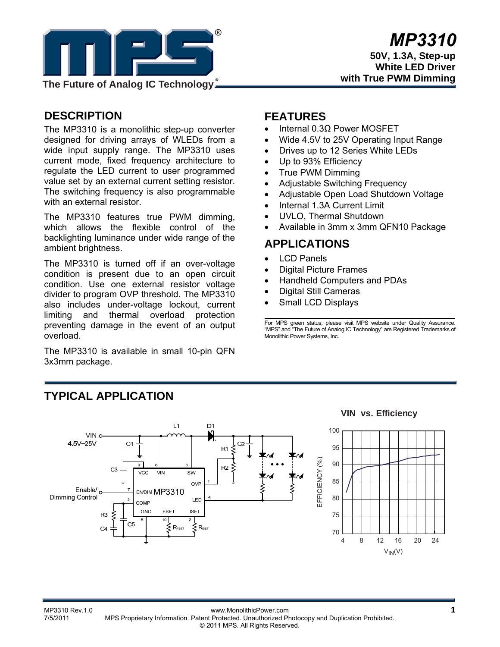

# **DESCRIPTION**

The MP3310 is a monolithic step-up converter designed for driving arrays of WLEDs from a wide input supply range. The MP3310 uses current mode, fixed frequency architecture to regulate the LED current to user programmed value set by an external current setting resistor. The switching frequency is also programmable with an external resistor.

The MP3310 features true PWM dimming, which allows the flexible control of the backlighting luminance under wide range of the ambient brightness.

The MP3310 is turned off if an over-voltage condition is present due to an open circuit condition. Use one external resistor voltage divider to program OVP threshold. The MP3310 also includes under-voltage lockout, current limiting and thermal overload protection preventing damage in the event of an output overload.

The MP3310 is available in small 10-pin QFN 3x3mm package.

## **FEATURES**

- Internal 0.3Ω Power MOSFET
- Wide 4.5V to 25V Operating Input Range
- Drives up to 12 Series White LEDs
- Up to 93% Efficiency
- True PWM Dimming
- Adjustable Switching Frequency
- Adjustable Open Load Shutdown Voltage
- Internal 1.3A Current Limit
- UVLO, Thermal Shutdown
- Available in 3mm x 3mm QFN10 Package

# **APPLICATIONS**

- LCD Panels
- **Digital Picture Frames**
- Handheld Computers and PDAs
- Digital Still Cameras
- Small LCD Displays

For MPS green status, please visit MPS website under Quality Assurance. "MPS" and "The Future of Analog IC Technology" are Registered Trademarks of Monolithic Power Systems, Inc.

# **TYPICAL APPLICATION**

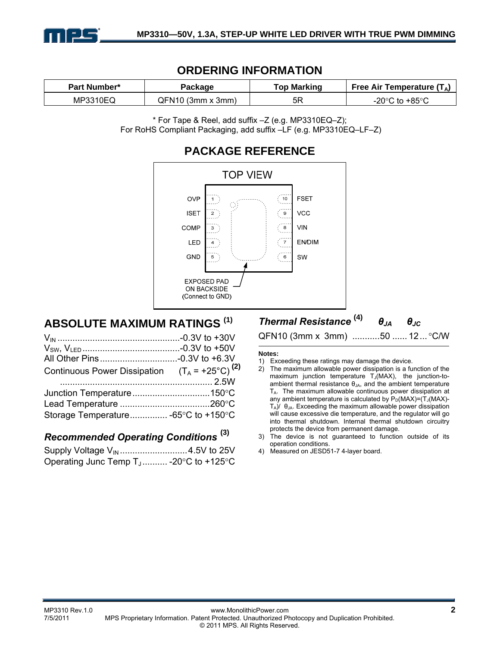

# **ORDERING INFORMATION**

| Part Number* | Package             | <b>Top Marking</b> | Free Air Temperature $(T_A)$         |  |
|--------------|---------------------|--------------------|--------------------------------------|--|
| MP3310EQ     | $QFM10$ (3mm x 3mm) | 5R                 | -20 $^{\circ}$ C to +85 $^{\circ}$ C |  |

\* For Tape & Reel, add suffix –Z (e.g. MP3310EQ–Z); For RoHS Compliant Packaging, add suffix –LF (e.g. MP3310EQ–LF–Z)



# **ABSOLUTE MAXIMUM RATINGS (1)**

| Continuous Power Dissipation $(T_A = +25^{\circ}C)^{(2)}$ |  |
|-----------------------------------------------------------|--|
| Storage Temperature -65°C to +150°C                       |  |

# *Recommended Operating Conditions* **(3)**

Supply Voltage V<sub>IN</sub> ................................4.5V to 25V Operating Junc Temp T<sub>J</sub>.......... -20°C to +125°C

*Thermal Resistance* **(4)** *θJA θJC*

QFN10 (3mm x 3mm) ...........50 ...... 12... °C/W

#### **Notes:**

- 1) Exceeding these ratings may damage the device.
- 2) The maximum allowable power dissipation is a function of the maximum junction temperature  $T_J(MAX)$ , the junction-toambient thermal resistance  $\theta_{JA}$ , and the ambient temperature  $T_A$ . The maximum allowable continuous power dissipation at any ambient temperature is calculated by  $P_D(MAX)=(T_J(MAX)-T_J(MAX))$  $T_A$ )/  $\theta_{JA}$ . Exceeding the maximum allowable power dissipation will cause excessive die temperature, and the regulator will go into thermal shutdown. Internal thermal shutdown circuitry protects the device from permanent damage.
- 3) The device is not guaranteed to function outside of its operation conditions.
- 4) Measured on JESD51-7 4-layer board.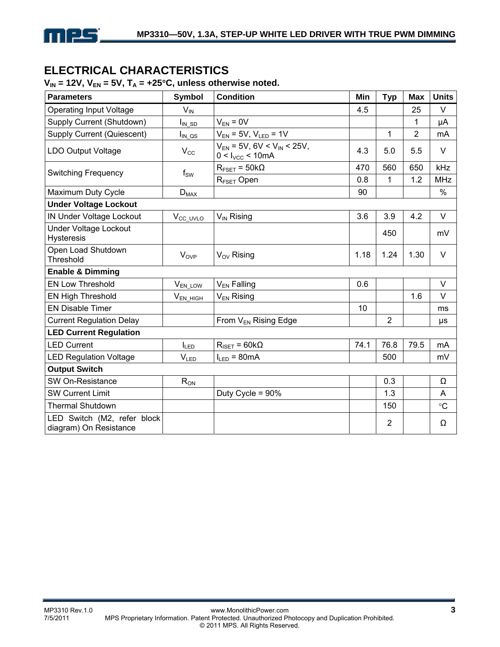

# **ELECTRICAL CHARACTERISTICS**

## $V_{IN}$  = 12V,  $V_{EN}$  = 5V,  $T_A$  = +25°C, unless otherwise noted.

| <b>Parameters</b>                                     | <b>Symbol</b>        | <b>Condition</b>                                                   | Min  | <b>Typ</b>     | <b>Max</b>     | <b>Units</b>    |
|-------------------------------------------------------|----------------------|--------------------------------------------------------------------|------|----------------|----------------|-----------------|
| <b>Operating Input Voltage</b>                        | $V_{IN}$             |                                                                    | 4.5  |                | 25             | V               |
| Supply Current (Shutdown)                             | $I_{IN\_SD}$         | $V_{EN} = 0V$                                                      |      |                | 1              | μA              |
| <b>Supply Current (Quiescent)</b>                     | $I_{IN\_QS}$         | $V_{EN}$ = 5V, $V_{LED}$ = 1V                                      |      | 1              | $\overline{2}$ | mA              |
| <b>LDO Output Voltage</b>                             | $V_{\rm CC}$         | $V_{EN}$ = 5V, 6V < V <sub>IN</sub> < 25V,<br>$0 < I_{VCC} < 10mA$ | 4.3  | 5.0            | 5.5            | V               |
| <b>Switching Frequency</b>                            | $f_{SW}$             | $R_{\text{FSET}} = 50k\Omega$                                      | 470  | 560            | 650            | kHz             |
|                                                       |                      | R <sub>FSET</sub> Open                                             | 0.8  | $\mathbf{1}$   | 1.2            | <b>MHz</b>      |
| Maximum Duty Cycle                                    | $D_{MAX}$            |                                                                    | 90   |                |                | $\%$            |
| <b>Under Voltage Lockout</b>                          |                      |                                                                    |      |                |                |                 |
| IN Under Voltage Lockout                              | V <sub>CC_UVLO</sub> | V <sub>IN</sub> Rising                                             | 3.6  | 3.9            | 4.2            | V               |
| <b>Under Voltage Lockout</b><br><b>Hysteresis</b>     |                      |                                                                    |      | 450            |                | mV              |
| Open Load Shutdown<br><b>Threshold</b>                | $V_{OVP}$            | $V_{OV}$ Rising                                                    | 1.18 | 1.24           | 1.30           | $\vee$          |
| <b>Enable &amp; Dimming</b>                           |                      |                                                                    |      |                |                |                 |
| <b>EN Low Threshold</b>                               | V <sub>EN_LOW</sub>  | $V_{EN}$ Falling                                                   | 0.6  |                |                | V               |
| <b>EN High Threshold</b>                              | $V_{EN\_HIGH}$       | $V_{EN}$ Rising                                                    |      |                | 1.6            | V               |
| <b>EN Disable Timer</b>                               |                      |                                                                    | 10   |                |                | ms              |
| <b>Current Regulation Delay</b>                       |                      | From V <sub>EN</sub> Rising Edge                                   |      | $\overline{2}$ |                | μs              |
| <b>LED Current Regulation</b>                         |                      |                                                                    |      |                |                |                 |
| <b>LED Current</b>                                    | $I_{LED}$            | $R_{\text{ISET}} = 60 \text{k}\Omega$                              | 74.1 | 76.8           | 79.5           | mA              |
| <b>LED Regulation Voltage</b>                         | $V_{LED}$            | $I_{LED} = 80mA$                                                   |      | 500            |                | mV              |
| <b>Output Switch</b>                                  |                      |                                                                    |      |                |                |                 |
| SW On-Resistance                                      | $R_{ON}$             |                                                                    |      | 0.3            |                | Ω               |
| <b>SW Current Limit</b>                               |                      | Duty Cycle = 90%                                                   |      | 1.3            |                | A               |
| <b>Thermal Shutdown</b>                               |                      |                                                                    |      | 150            |                | $\rm ^{\circ}C$ |
| LED Switch (M2, refer block<br>diagram) On Resistance |                      |                                                                    |      | $\overline{2}$ |                | Ω               |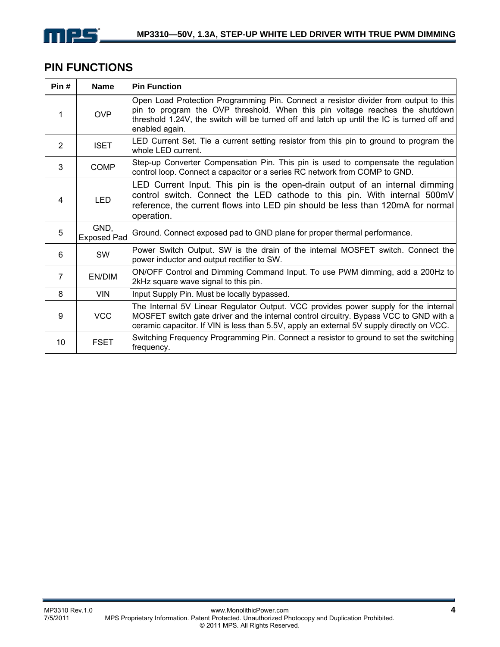

# **PIN FUNCTIONS**

| Pin#           | <b>Name</b>                | <b>Pin Function</b>                                                                                                                                                                                                                                                                  |
|----------------|----------------------------|--------------------------------------------------------------------------------------------------------------------------------------------------------------------------------------------------------------------------------------------------------------------------------------|
| 1              | <b>OVP</b>                 | Open Load Protection Programming Pin. Connect a resistor divider from output to this<br>pin to program the OVP threshold. When this pin voltage reaches the shutdown<br>threshold 1.24V, the switch will be turned off and latch up until the IC is turned off and<br>enabled again. |
| $\overline{2}$ | <b>ISET</b>                | LED Current Set. Tie a current setting resistor from this pin to ground to program the<br>whole LED current.                                                                                                                                                                         |
| 3              | <b>COMP</b>                | Step-up Converter Compensation Pin. This pin is used to compensate the regulation<br>control loop. Connect a capacitor or a series RC network from COMP to GND.                                                                                                                      |
| 4              | <b>LED</b>                 | LED Current Input. This pin is the open-drain output of an internal dimming<br>control switch. Connect the LED cathode to this pin. With internal 500mV<br>reference, the current flows into LED pin should be less than 120mA for normal<br>operation.                              |
| 5              | GND,<br><b>Exposed Pad</b> | Ground. Connect exposed pad to GND plane for proper thermal performance.                                                                                                                                                                                                             |
| 6              | SW                         | Power Switch Output. SW is the drain of the internal MOSFET switch. Connect the<br>power inductor and output rectifier to SW.                                                                                                                                                        |
| $\overline{7}$ | EN/DIM                     | ON/OFF Control and Dimming Command Input. To use PWM dimming, add a 200Hz to<br>2kHz square wave signal to this pin.                                                                                                                                                                 |
| 8              | <b>VIN</b>                 | Input Supply Pin. Must be locally bypassed.                                                                                                                                                                                                                                          |
| 9              | <b>VCC</b>                 | The Internal 5V Linear Regulator Output. VCC provides power supply for the internal<br>MOSFET switch gate driver and the internal control circuitry. Bypass VCC to GND with a<br>ceramic capacitor. If VIN is less than 5.5V, apply an external 5V supply directly on VCC.           |
| 10             | <b>FSET</b>                | Switching Frequency Programming Pin. Connect a resistor to ground to set the switching<br>frequency.                                                                                                                                                                                 |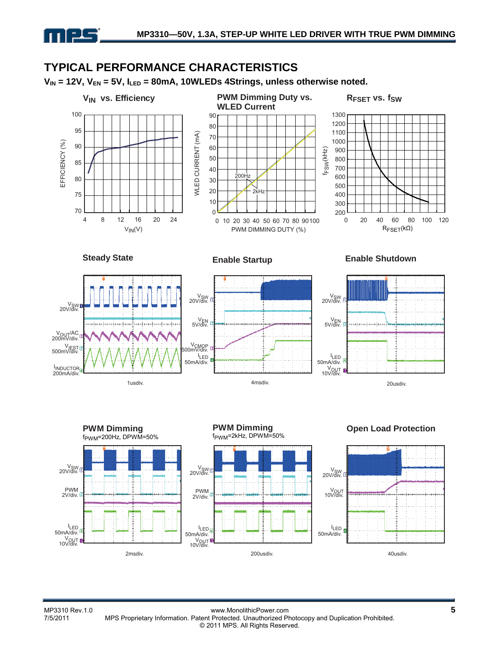# **TYPICAL PERFORMANCE CHARACTERISTICS**

V<sub>IN</sub> = 12V, V<sub>EN</sub> = 5V, I<sub>LED</sub> = 80mA, 10WLEDs 4Strings, unless otherwise noted.



**ILED** 50mA/div.

n 125

V<sub>OUT</sub>

2msdiv.

**ILED** 50mA/div.<br>V<sub>OUT</sub><br>.10V/div.

200usdiv. 40usdiv.

**ILED** 50mA/div.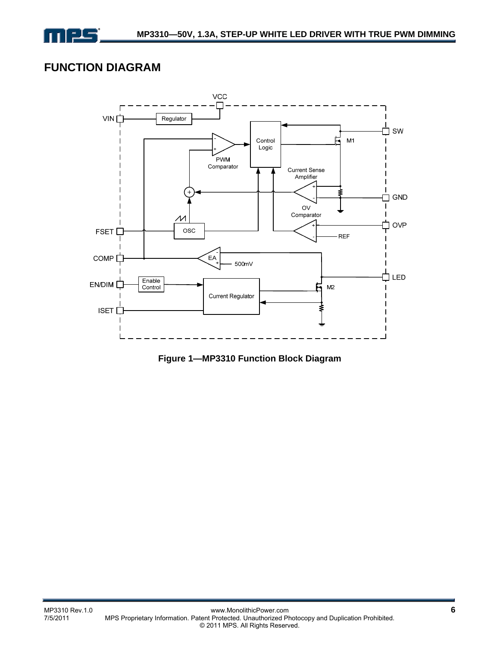

# **FUNCTION DIAGRAM**



**Figure 1—MP3310 Function Block Diagram**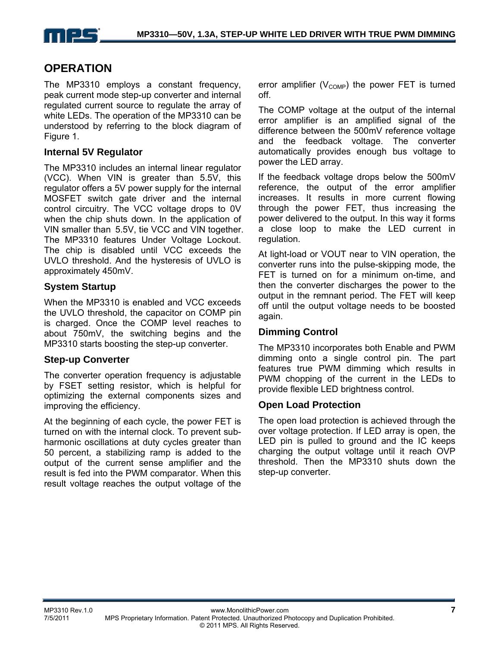

# **OPERATION**

The MP3310 employs a constant frequency, peak current mode step-up converter and internal regulated current source to regulate the array of white LEDs. The operation of the MP3310 can be understood by referring to the block diagram of Figure 1.

### **Internal 5V Regulator**

The MP3310 includes an internal linear regulator (VCC). When VIN is greater than 5.5V, this regulator offers a 5V power supply for the internal MOSFET switch gate driver and the internal control circuitry. The VCC voltage drops to 0V when the chip shuts down. In the application of VIN smaller than 5.5V, tie VCC and VIN together. The MP3310 features Under Voltage Lockout. The chip is disabled until VCC exceeds the UVLO threshold. And the hysteresis of UVLO is approximately 450mV.

### **System Startup**

When the MP3310 is enabled and VCC exceeds the UVLO threshold, the capacitor on COMP pin is charged. Once the COMP level reaches to about 750mV, the switching begins and the MP3310 starts boosting the step-up converter.

#### **Step-up Converter**

The converter operation frequency is adjustable by FSET setting resistor, which is helpful for optimizing the external components sizes and improving the efficiency.

At the beginning of each cycle, the power FET is turned on with the internal clock. To prevent subharmonic oscillations at duty cycles greater than 50 percent, a stabilizing ramp is added to the output of the current sense amplifier and the result is fed into the PWM comparator. When this result voltage reaches the output voltage of the

error amplifier  $(V_{\text{COMP}})$  the power FET is turned off.

The COMP voltage at the output of the internal error amplifier is an amplified signal of the difference between the 500mV reference voltage and the feedback voltage. The converter automatically provides enough bus voltage to power the LED array.

If the feedback voltage drops below the 500mV reference, the output of the error amplifier increases. It results in more current flowing through the power FET, thus increasing the power delivered to the output. In this way it forms a close loop to make the LED current in regulation.

At light-load or VOUT near to VIN operation, the converter runs into the pulse-skipping mode, the FET is turned on for a minimum on-time, and then the converter discharges the power to the output in the remnant period. The FET will keep off until the output voltage needs to be boosted again.

### **Dimming Control**

The MP3310 incorporates both Enable and PWM dimming onto a single control pin. The part features true PWM dimming which results in PWM chopping of the current in the LEDs to provide flexible LED brightness control.

### **Open Load Protection**

The open load protection is achieved through the over voltage protection. If LED array is open, the LED pin is pulled to ground and the IC keeps charging the output voltage until it reach OVP threshold. Then the MP3310 shuts down the step-up converter.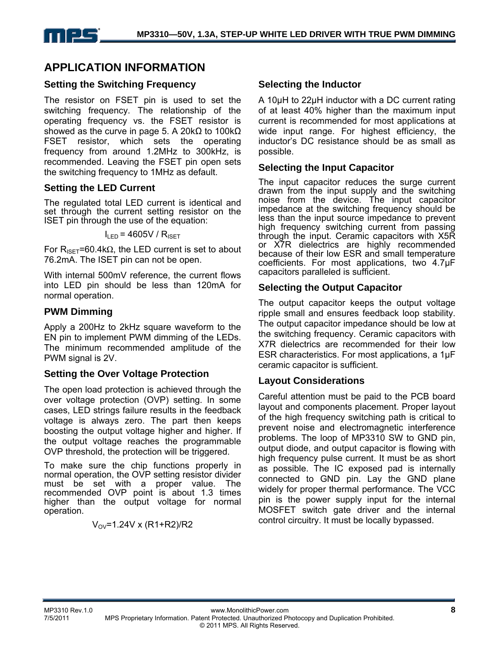

# **APPLICATION INFORMATION**

### **Setting the Switching Frequency**

The resistor on FSET pin is used to set the switching frequency. The relationship of the operating frequency vs. the FSET resistor is showed as the curve in page 5. A 20k $\Omega$  to 100k $\Omega$ FSET resistor, which sets the operating frequency from around 1.2MHz to 300kHz, is recommended. Leaving the FSET pin open sets the switching frequency to 1MHz as default.

### **Setting the LED Current**

The regulated total LED current is identical and set through the current setting resistor on the ISET pin through the use of the equation:

 $I_{\text{LED}}$  = 4605V /  $R_{\text{ISFT}}$ 

For R<sub>ISET</sub>=60.4kΩ, the LED current is set to about 76.2mA. The ISET pin can not be open.

With internal 500mV reference, the current flows into LED pin should be less than 120mA for normal operation.

### **PWM Dimming**

Apply a 200Hz to 2kHz square waveform to the EN pin to implement PWM dimming of the LEDs. The minimum recommended amplitude of the PWM signal is 2V.

### **Setting the Over Voltage Protection**

The open load protection is achieved through the over voltage protection (OVP) setting. In some cases, LED strings failure results in the feedback voltage is always zero. The part then keeps boosting the output voltage higher and higher. If the output voltage reaches the programmable OVP threshold, the protection will be triggered.

To make sure the chip functions properly in normal operation, the OVP setting resistor divider must be set with a proper value. The recommended OVP point is about 1.3 times higher than the output voltage for normal operation.

 $V_{\text{OV}}$ =1.24V x (R1+R2)/R2

### **Selecting the Inductor**

A 10μH to 22µH inductor with a DC current rating of at least 40% higher than the maximum input current is recommended for most applications at wide input range. For highest efficiency, the inductor's DC resistance should be as small as possible.

### **Selecting the Input Capacitor**

The input capacitor reduces the surge current drawn from the input supply and the switching noise from the device. The input capacitor impedance at the switching frequency should be less than the input source impedance to prevent high frequency switching current from passing through the input. Ceramic capacitors with X5R or X7R dielectrics are highly recommended because of their low ESR and small temperature coefficients. For most applications, two 4.7μF capacitors paralleled is sufficient.

### **Selecting the Output Capacitor**

The output capacitor keeps the output voltage ripple small and ensures feedback loop stability. The output capacitor impedance should be low at the switching frequency. Ceramic capacitors with X7R dielectrics are recommended for their low ESR characteristics. For most applications, a 1μF ceramic capacitor is sufficient.

### **Layout Considerations**

Careful attention must be paid to the PCB board layout and components placement. Proper layout of the high frequency switching path is critical to prevent noise and electromagnetic interference problems. The loop of MP3310 SW to GND pin, output diode, and output capacitor is flowing with high frequency pulse current. It must be as short as possible. The IC exposed pad is internally connected to GND pin. Lay the GND plane widely for proper thermal performance. The VCC pin is the power supply input for the internal MOSFET switch gate driver and the internal control circuitry. It must be locally bypassed.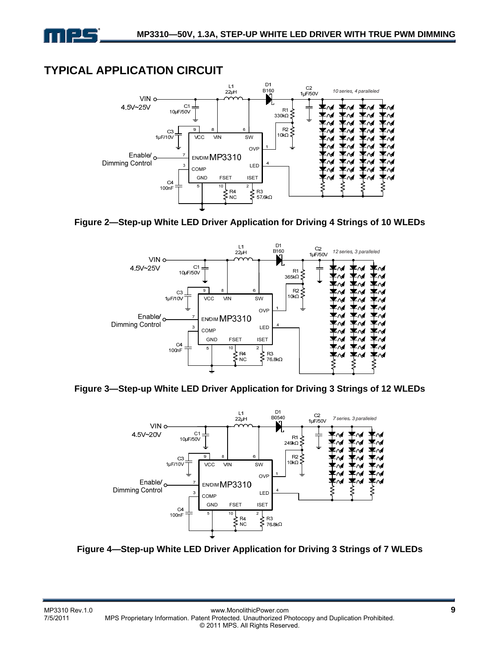

# **TYPICAL APPLICATION CIRCUIT**



**Figure 2—Step-up White LED Driver Application for Driving 4 Strings of 10 WLEDs** 



**Figure 3—Step-up White LED Driver Application for Driving 3 Strings of 12 WLEDs** 



**Figure 4—Step-up White LED Driver Application for Driving 3 Strings of 7 WLEDs**